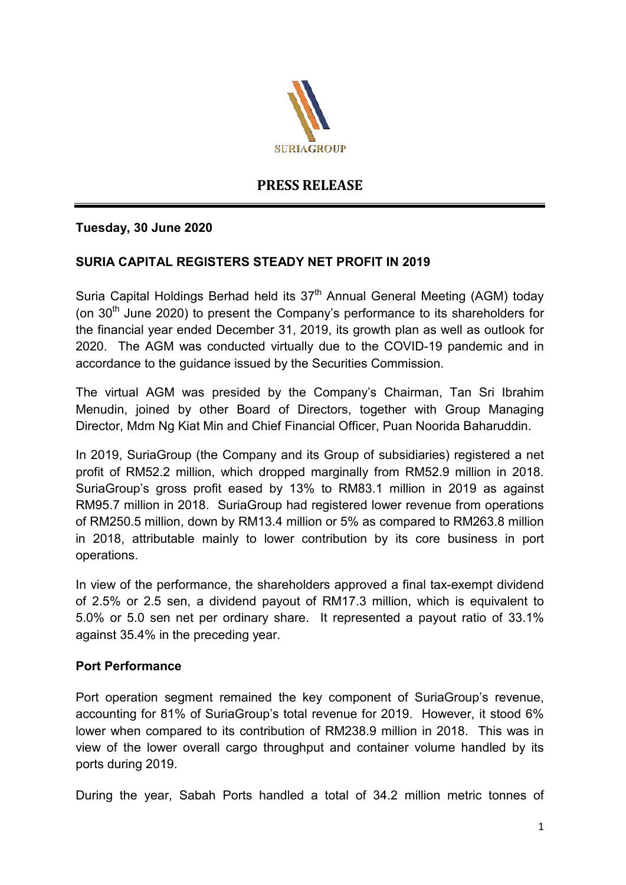

# **PRESS RELEASE**

# **Tuesday, 30 June 2020**

# **SURIA CAPITAL REGISTERS STEADY NET PROFIT IN 2019**

Suria Capital Holdings Berhad held its 37<sup>th</sup> Annual General Meeting (AGM) today (on  $30<sup>th</sup>$  June 2020) to present the Company's performance to its shareholders for the financial year ended December 31, 2019, its growth plan as well as outlook for 2020. The AGM was conducted virtually due to the COVID-19 pandemic and in accordance to the guidance issued by the Securities Commission.

The virtual AGM was presided by the Company's Chairman, Tan Sri Ibrahim Menudin, joined by other Board of Directors, together with Group Managing Director, Mdm Ng Kiat Min and Chief Financial Officer, Puan Noorida Baharuddin.

In 2019, SuriaGroup (the Company and its Group of subsidiaries) registered a net profit of RM52.2 million, which dropped marginally from RM52.9 million in 2018. SuriaGroup's gross profit eased by 13% to RM83.1 million in 2019 as against RM95.7 million in 2018. SuriaGroup had registered lower revenue from operations of RM250.5 million, down by RM13.4 million or 5% as compared to RM263.8 million in 2018, attributable mainly to lower contribution by its core business in port operations.

In view of the performance, the shareholders approved a final tax-exempt dividend of 2.5% or 2.5 sen, a dividend payout of RM17.3 million, which is equivalent to 5.0% or 5.0 sen net per ordinary share. It represented a payout ratio of 33.1% against 35.4% in the preceding year.

### **Port Performance**

Port operation segment remained the key component of SuriaGroup's revenue, accounting for 81% of SuriaGroup's total revenue for 2019. However, it stood 6% lower when compared to its contribution of RM238.9 million in 2018. This was in view of the lower overall cargo throughput and container volume handled by its ports during 2019.

During the year, Sabah Ports handled a total of 34.2 million metric tonnes of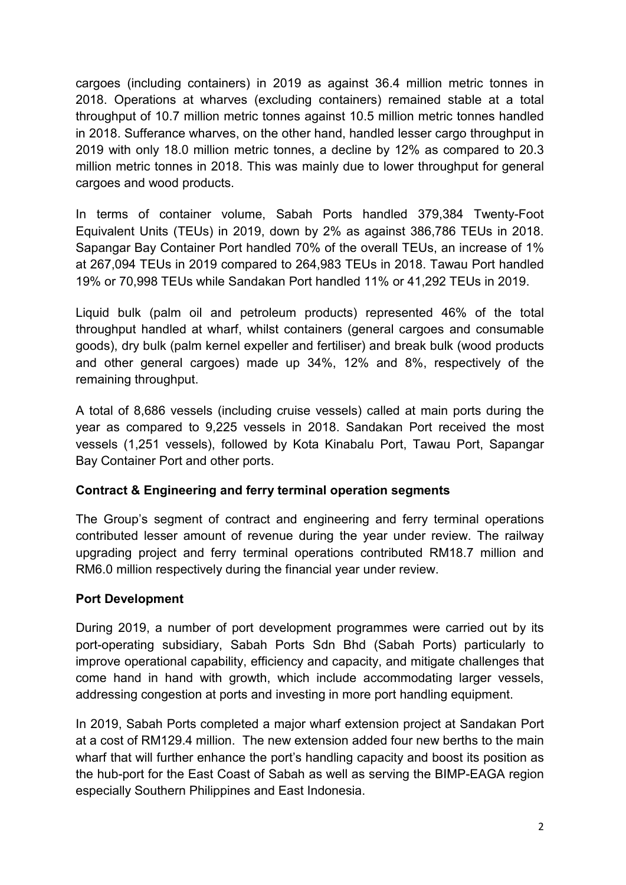cargoes (including containers) in 2019 as against 36.4 million metric tonnes in 2018. Operations at wharves (excluding containers) remained stable at a total throughput of 10.7 million metric tonnes against 10.5 million metric tonnes handled in 2018. Sufferance wharves, on the other hand, handled lesser cargo throughput in 2019 with only 18.0 million metric tonnes, a decline by 12% as compared to 20.3 million metric tonnes in 2018. This was mainly due to lower throughput for general cargoes and wood products.

In terms of container volume, Sabah Ports handled 379,384 Twenty-Foot Equivalent Units (TEUs) in 2019, down by 2% as against 386,786 TEUs in 2018. Sapangar Bay Container Port handled 70% of the overall TEUs, an increase of 1% at 267,094 TEUs in 2019 compared to 264,983 TEUs in 2018. Tawau Port handled 19% or 70,998 TEUs while Sandakan Port handled 11% or 41,292 TEUs in 2019.

Liquid bulk (palm oil and petroleum products) represented 46% of the total throughput handled at wharf, whilst containers (general cargoes and consumable goods), dry bulk (palm kernel expeller and fertiliser) and break bulk (wood products and other general cargoes) made up 34%, 12% and 8%, respectively of the remaining throughput.

A total of 8,686 vessels (including cruise vessels) called at main ports during the year as compared to 9,225 vessels in 2018. Sandakan Port received the most vessels (1,251 vessels), followed by Kota Kinabalu Port, Tawau Port, Sapangar Bay Container Port and other ports.

# **Contract & Engineering and ferry terminal operation segments**

The Group's segment of contract and engineering and ferry terminal operations contributed lesser amount of revenue during the year under review. The railway upgrading project and ferry terminal operations contributed RM18.7 million and RM6.0 million respectively during the financial year under review.

# **Port Development**

During 2019, a number of port development programmes were carried out by its port-operating subsidiary, Sabah Ports Sdn Bhd (Sabah Ports) particularly to improve operational capability, efficiency and capacity, and mitigate challenges that come hand in hand with growth, which include accommodating larger vessels, addressing congestion at ports and investing in more port handling equipment.

In 2019, Sabah Ports completed a major wharf extension project at Sandakan Port at a cost of RM129.4 million. The new extension added four new berths to the main wharf that will further enhance the port's handling capacity and boost its position as the hub-port for the East Coast of Sabah as well as serving the BIMP-EAGA region especially Southern Philippines and East Indonesia.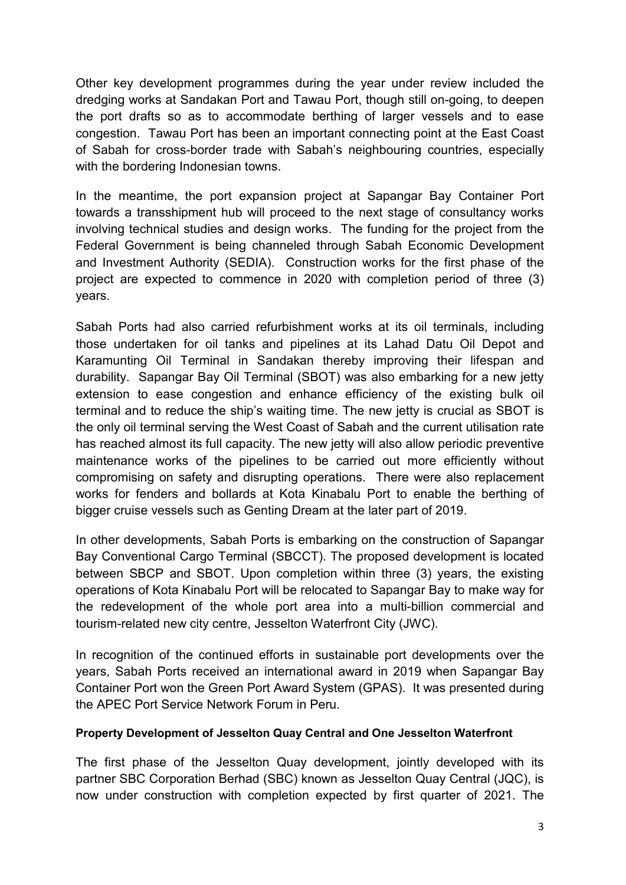Other key development programmes during the year under review included the dredging works at Sandakan Port and Tawau Port, though still on-going, to deepen the port drafts so as to accommodate berthing of larger vessels and to ease congestion. Tawau Port has been an important connecting point at the East Coast of Sabah for cross-border trade with Sabah's neighbouring countries, especially with the bordering Indonesian towns.

In the meantime, the port expansion project at Sapangar Bay Container Port towards a transshipment hub will proceed to the next stage of consultancy works involving technical studies and design works. The funding for the project from the Federal Government is being channeled through Sabah Economic Development and Investment Authority (SEDIA). Construction works for the first phase of the project are expected to commence in 2020 with completion period of three (3) years.

Sabah Ports had also carried refurbishment works at its oil terminals, including those undertaken for oil tanks and pipelines at its Lahad Datu Oil Depot and Karamunting Oil Terminal in Sandakan thereby improving their lifespan and durability. Sapangar Bay Oil Terminal (SBOT) was also embarking for a new jetty extension to ease congestion and enhance efficiency of the existing bulk oil terminal and to reduce the ship's waiting time. The new jetty is crucial as SBOT is the only oil terminal serving the West Coast of Sabah and the current utilisation rate has reached almost its full capacity. The new jetty will also allow periodic preventive maintenance works of the pipelines to be carried out more efficiently without compromising on safety and disrupting operations. There were also replacement works for fenders and bollards at Kota Kinabalu Port to enable the berthing of bigger cruise vessels such as Genting Dream at the later part of 2019.

In other developments, Sabah Ports is embarking on the construction of Sapangar Bay Conventional Cargo Terminal (SBCCT). The proposed development is located between SBCP and SBOT. Upon completion within three (3) years, the existing operations of Kota Kinabalu Port will be relocated to Sapangar Bay to make way for the redevelopment of the whole port area into a multi-billion commercial and tourism-related new city centre, Jesselton Waterfront City (JWC).

In recognition of the continued efforts in sustainable port developments over the years, Sabah Ports received an international award in 2019 when Sapangar Bay Container Port won the Green Port Award System (GPAS). It was presented during the APEC Port Service Network Forum in Peru.

### **Property Development of Jesselton Quay Central and One Jesselton Waterfront**

The first phase of the Jesselton Quay development, jointly developed with its partner SBC Corporation Berhad (SBC) known as Jesselton Quay Central (JQC), is now under construction with completion expected by first quarter of 2021. The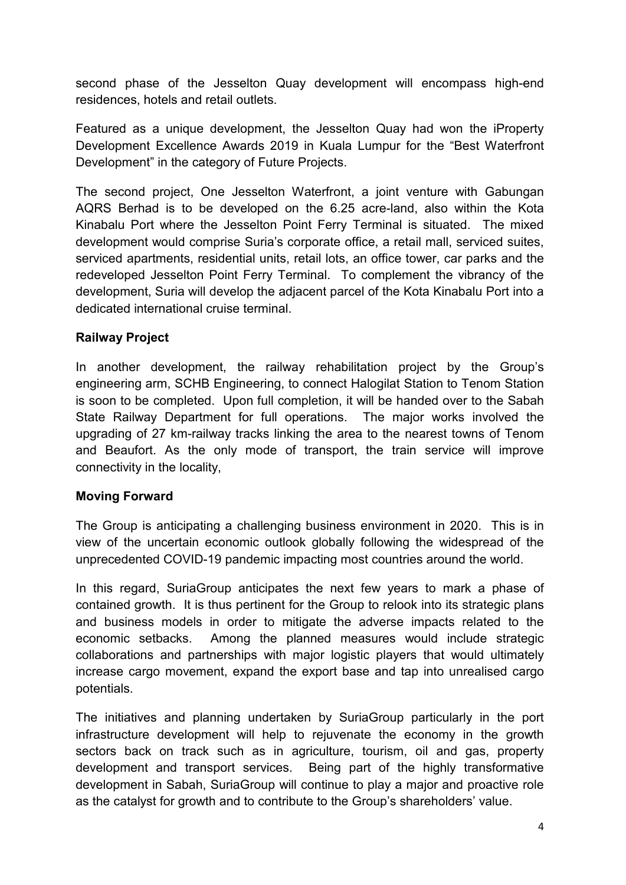second phase of the Jesselton Quay development will encompass high-end residences, hotels and retail outlets.

Featured as a unique development, the Jesselton Quay had won the iProperty Development Excellence Awards 2019 in Kuala Lumpur for the "Best Waterfront Development" in the category of Future Projects.

The second project, One Jesselton Waterfront, a joint venture with Gabungan AQRS Berhad is to be developed on the 6.25 acre-land, also within the Kota Kinabalu Port where the Jesselton Point Ferry Terminal is situated. The mixed development would comprise Suria's corporate office, a retail mall, serviced suites, serviced apartments, residential units, retail lots, an office tower, car parks and the redeveloped Jesselton Point Ferry Terminal. To complement the vibrancy of the development, Suria will develop the adjacent parcel of the Kota Kinabalu Port into a dedicated international cruise terminal.

# **Railway Project**

In another development, the railway rehabilitation project by the Group's engineering arm, SCHB Engineering, to connect Halogilat Station to Tenom Station is soon to be completed. Upon full completion, it will be handed over to the Sabah State Railway Department for full operations. The major works involved the upgrading of 27 km-railway tracks linking the area to the nearest towns of Tenom and Beaufort. As the only mode of transport, the train service will improve connectivity in the locality,

# **Moving Forward**

The Group is anticipating a challenging business environment in 2020. This is in view of the uncertain economic outlook globally following the widespread of the unprecedented COVID-19 pandemic impacting most countries around the world.

In this regard, SuriaGroup anticipates the next few years to mark a phase of contained growth. It is thus pertinent for the Group to relook into its strategic plans and business models in order to mitigate the adverse impacts related to the economic setbacks. Among the planned measures would include strategic collaborations and partnerships with major logistic players that would ultimately increase cargo movement, expand the export base and tap into unrealised cargo potentials.

The initiatives and planning undertaken by SuriaGroup particularly in the port infrastructure development will help to rejuvenate the economy in the growth sectors back on track such as in agriculture, tourism, oil and gas, property development and transport services. Being part of the highly transformative development in Sabah, SuriaGroup will continue to play a major and proactive role as the catalyst for growth and to contribute to the Group's shareholders' value.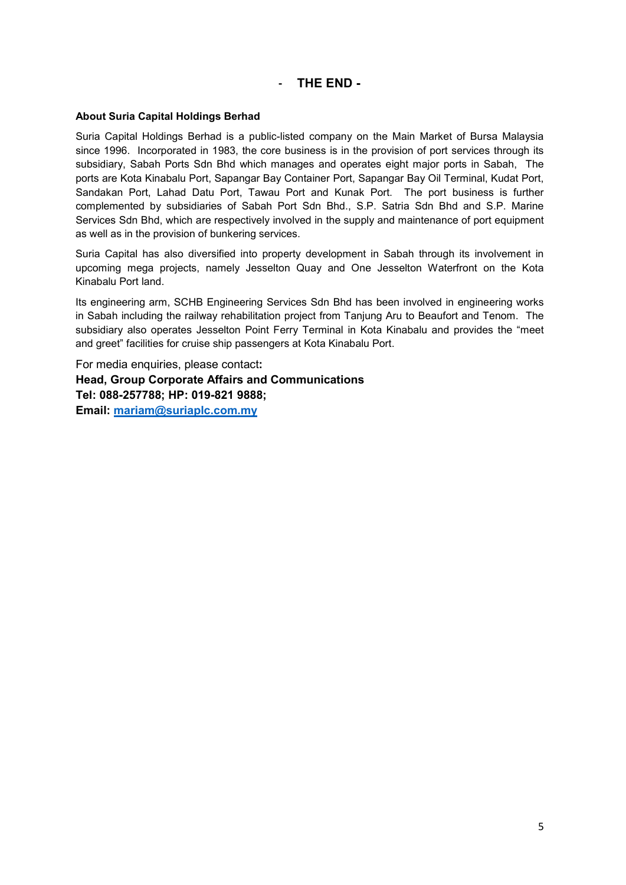#### **- THE END -**

#### **About Suria Capital Holdings Berhad**

Suria Capital Holdings Berhad is a public-listed company on the Main Market of Bursa Malaysia since 1996. Incorporated in 1983, the core business is in the provision of port services through its subsidiary, Sabah Ports Sdn Bhd which manages and operates eight major ports in Sabah, The ports are Kota Kinabalu Port, Sapangar Bay Container Port, Sapangar Bay Oil Terminal, Kudat Port, Sandakan Port, Lahad Datu Port, Tawau Port and Kunak Port. The port business is further complemented by subsidiaries of Sabah Port Sdn Bhd., S.P. Satria Sdn Bhd and S.P. Marine Services Sdn Bhd, which are respectively involved in the supply and maintenance of port equipment as well as in the provision of bunkering services.

Suria Capital has also diversified into property development in Sabah through its involvement in upcoming mega projects, namely Jesselton Quay and One Jesselton Waterfront on the Kota Kinabalu Port land.

Its engineering arm, SCHB Engineering Services Sdn Bhd has been involved in engineering works in Sabah including the railway rehabilitation project from Tanjung Aru to Beaufort and Tenom. The subsidiary also operates Jesselton Point Ferry Terminal in Kota Kinabalu and provides the "meet and greet" facilities for cruise ship passengers at Kota Kinabalu Port.

For media enquiries, please contact**: Head, Group Corporate Affairs and Communications Tel: 088-257788; HP: 019-821 9888; Email: [mariam@suriaplc.com.my](mailto:mariam@suriaplc.com.my)**